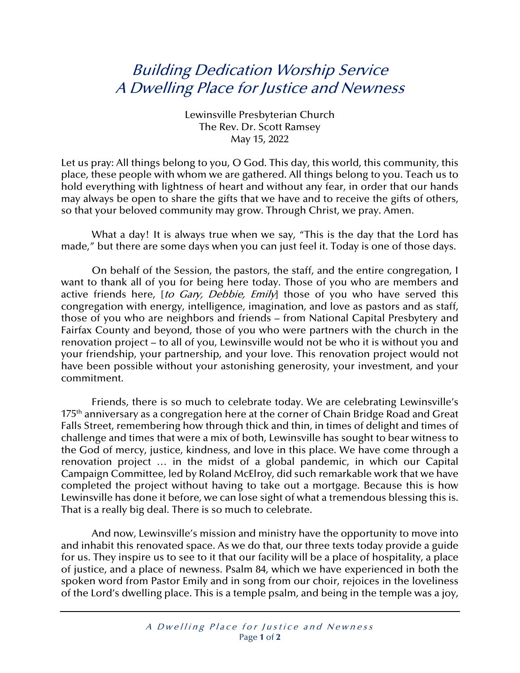## Building Dedication Worship Service A Dwelling Place for Justice and Newness

Lewinsville Presbyterian Church The Rev. Dr. Scott Ramsey May 15, 2022

Let us pray: All things belong to you, O God. This day, this world, this community, this place, these people with whom we are gathered. All things belong to you. Teach us to hold everything with lightness of heart and without any fear, in order that our hands may always be open to share the gifts that we have and to receive the gifts of others, so that your beloved community may grow. Through Christ, we pray. Amen.

What a day! It is always true when we say, "This is the day that the Lord has made," but there are some days when you can just feel it. Today is one of those days.

On behalf of the Session, the pastors, the staff, and the entire congregation, I want to thank all of you for being here today. Those of you who are members and active friends here, [to Gary, Debbie, Emily] those of you who have served this congregation with energy, intelligence, imagination, and love as pastors and as staff, those of you who are neighbors and friends – from National Capital Presbytery and Fairfax County and beyond, those of you who were partners with the church in the renovation project – to all of you, Lewinsville would not be who it is without you and your friendship, your partnership, and your love. This renovation project would not have been possible without your astonishing generosity, your investment, and your commitment.

Friends, there is so much to celebrate today. We are celebrating Lewinsville's 175<sup>th</sup> anniversary as a congregation here at the corner of Chain Bridge Road and Great Falls Street, remembering how through thick and thin, in times of delight and times of challenge and times that were a mix of both, Lewinsville has sought to bear witness to the God of mercy, justice, kindness, and love in this place. We have come through a renovation project … in the midst of a global pandemic, in which our Capital Campaign Committee, led by Roland McElroy, did such remarkable work that we have completed the project without having to take out a mortgage. Because this is how Lewinsville has done it before, we can lose sight of what a tremendous blessing this is. That is a really big deal. There is so much to celebrate.

And now, Lewinsville's mission and ministry have the opportunity to move into and inhabit this renovated space. As we do that, our three texts today provide a guide for us. They inspire us to see to it that our facility will be a place of hospitality, a place of justice, and a place of newness. Psalm 84, which we have experienced in both the spoken word from Pastor Emily and in song from our choir, rejoices in the loveliness of the Lord's dwelling place. This is a temple psalm, and being in the temple was a joy,